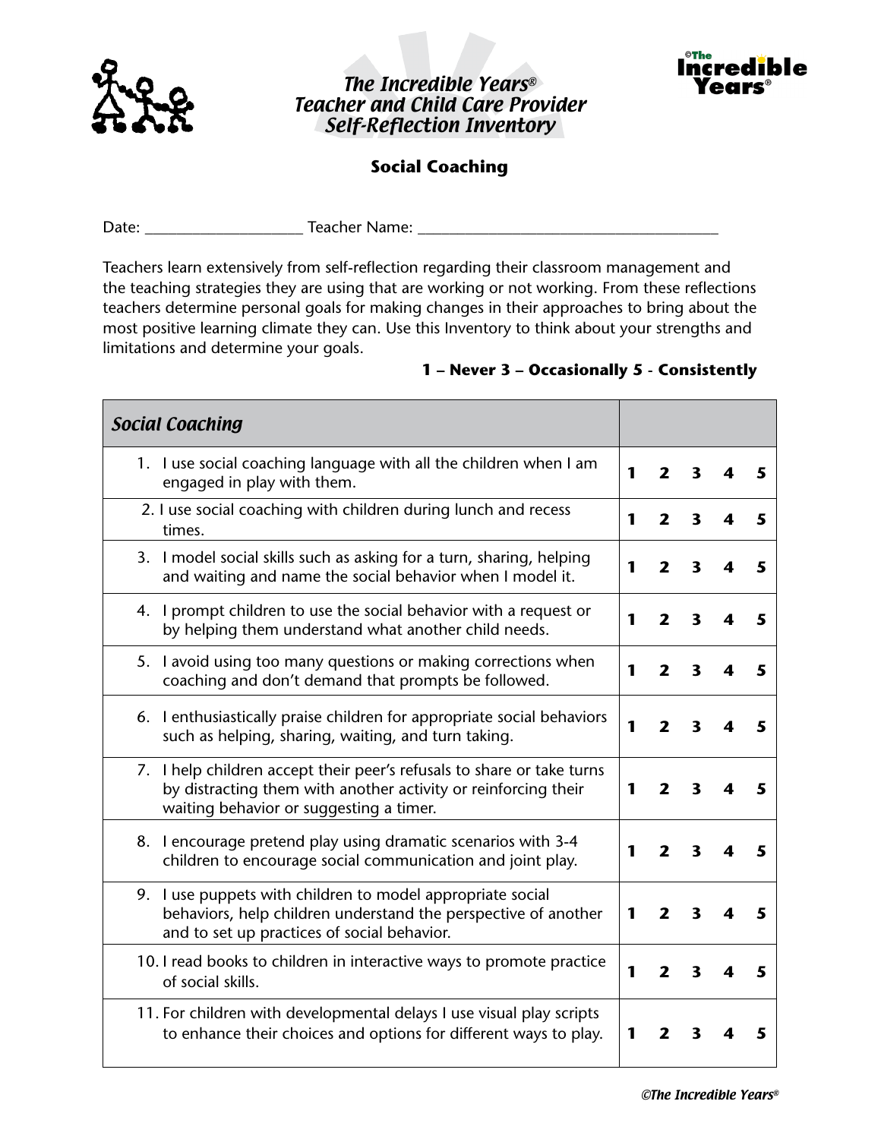

## The Incredible Years® Teacher and Child Care Provider Self-Reflection Inventory



## **Social Coaching**

Date: \_\_\_\_\_\_\_\_\_\_\_\_\_\_\_\_\_\_\_\_ Teacher Name: \_\_\_\_\_\_\_\_\_\_\_\_\_\_\_\_\_\_\_\_\_\_\_\_\_\_\_\_\_\_\_\_\_\_\_\_\_\_

Teachers learn extensively from self-reflection regarding their classroom management and the teaching strategies they are using that are working or not working. From these reflections teachers determine personal goals for making changes in their approaches to bring about the most positive learning climate they can. Use this Inventory to think about your strengths and limitations and determine your goals.

## **1 – Never 3 – Occasionally 5 - Consistently**

| <b>Social Coaching</b>                                                                                                                                                              |   |                         |                         |   |   |
|-------------------------------------------------------------------------------------------------------------------------------------------------------------------------------------|---|-------------------------|-------------------------|---|---|
| 1. I use social coaching language with all the children when I am<br>engaged in play with them.                                                                                     | 1 | $\overline{\mathbf{2}}$ | 3                       |   | 5 |
| 2. I use social coaching with children during lunch and recess<br>times.                                                                                                            | 1 | $\overline{\mathbf{2}}$ | $\overline{\mathbf{3}}$ | 4 | 5 |
| 3. I model social skills such as asking for a turn, sharing, helping<br>and waiting and name the social behavior when I model it.                                                   | 1 | 2                       | 3                       |   | 5 |
| 4. I prompt children to use the social behavior with a request or<br>by helping them understand what another child needs.                                                           | 1 | 2                       | 3                       |   | 5 |
| 5. I avoid using too many questions or making corrections when<br>coaching and don't demand that prompts be followed.                                                               | 1 | $\mathbf{2}$            | 3                       |   | 5 |
| 6. I enthusiastically praise children for appropriate social behaviors<br>such as helping, sharing, waiting, and turn taking.                                                       | 1 | $\mathbf{2}$            | 3                       |   | 5 |
| 7. I help children accept their peer's refusals to share or take turns<br>by distracting them with another activity or reinforcing their<br>waiting behavior or suggesting a timer. | 1 | $\overline{\mathbf{2}}$ | 3                       |   | 5 |
| 8. I encourage pretend play using dramatic scenarios with 3-4<br>children to encourage social communication and joint play.                                                         | 1 | 2                       | 3                       |   | 5 |
| 9. I use puppets with children to model appropriate social<br>behaviors, help children understand the perspective of another<br>and to set up practices of social behavior.         | 1 | $\mathbf{2}$            | 3                       |   | 5 |
| 10. I read books to children in interactive ways to promote practice<br>of social skills.                                                                                           | 1 | $\mathbf{2}$            | 3                       |   | 5 |
| 11. For children with developmental delays I use visual play scripts<br>to enhance their choices and options for different ways to play.                                            | 1 | 2                       | 3                       |   | 5 |